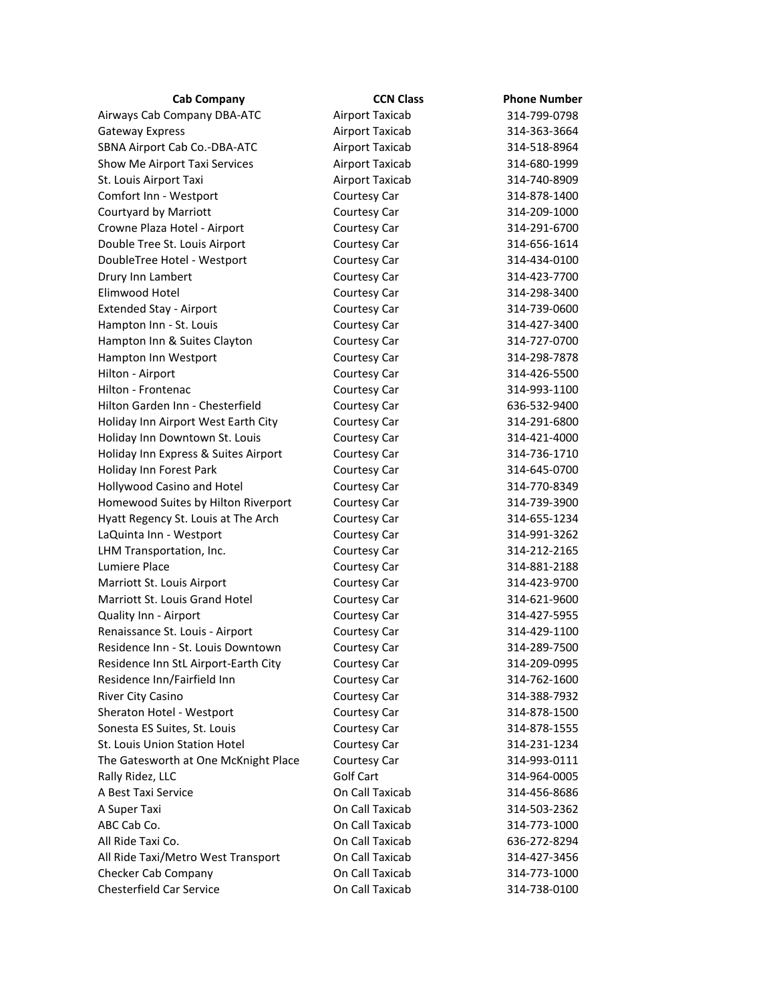| Cab Company                          | <b>CCN Class</b>       | <b>Phone Number</b> |
|--------------------------------------|------------------------|---------------------|
| Airways Cab Company DBA-ATC          | Airport Taxicab        | 314-799-0798        |
| Gateway Express                      | <b>Airport Taxicab</b> | 314-363-3664        |
| SBNA Airport Cab Co.-DBA-ATC         | <b>Airport Taxicab</b> | 314-518-8964        |
| Show Me Airport Taxi Services        | Airport Taxicab        | 314-680-1999        |
| St. Louis Airport Taxi               | Airport Taxicab        | 314-740-8909        |
| Comfort Inn - Westport               | Courtesy Car           | 314-878-1400        |
| Courtyard by Marriott                | Courtesy Car           | 314-209-1000        |
| Crowne Plaza Hotel - Airport         | Courtesy Car           | 314-291-6700        |
| Double Tree St. Louis Airport        | Courtesy Car           | 314-656-1614        |
| DoubleTree Hotel - Westport          | Courtesy Car           | 314-434-0100        |
| Drury Inn Lambert                    | Courtesy Car           | 314-423-7700        |
| Elimwood Hotel                       | Courtesy Car           | 314-298-3400        |
| <b>Extended Stay - Airport</b>       | Courtesy Car           | 314-739-0600        |
| Hampton Inn - St. Louis              | Courtesy Car           | 314-427-3400        |
| Hampton Inn & Suites Clayton         | Courtesy Car           | 314-727-0700        |
| Hampton Inn Westport                 | Courtesy Car           | 314-298-7878        |
| Hilton - Airport                     | Courtesy Car           | 314-426-5500        |
| Hilton - Frontenac                   | Courtesy Car           | 314-993-1100        |
| Hilton Garden Inn - Chesterfield     | Courtesy Car           | 636-532-9400        |
| Holiday Inn Airport West Earth City  | Courtesy Car           | 314-291-6800        |
| Holiday Inn Downtown St. Louis       | Courtesy Car           | 314-421-4000        |
| Holiday Inn Express & Suites Airport | Courtesy Car           | 314-736-1710        |
| Holiday Inn Forest Park              | Courtesy Car           | 314-645-0700        |
| Hollywood Casino and Hotel           | Courtesy Car           | 314-770-8349        |
| Homewood Suites by Hilton Riverport  | Courtesy Car           | 314-739-3900        |
| Hyatt Regency St. Louis at The Arch  | Courtesy Car           | 314-655-1234        |
| LaQuinta Inn - Westport              | Courtesy Car           | 314-991-3262        |
| LHM Transportation, Inc.             | Courtesy Car           | 314-212-2165        |
| Lumiere Place                        | Courtesy Car           | 314-881-2188        |
| Marriott St. Louis Airport           | Courtesy Car           | 314-423-9700        |
| Marriott St. Louis Grand Hotel       | Courtesy Car           | 314-621-9600        |
| Quality Inn - Airport                | Courtesy Car           | 314-427-5955        |
| Renaissance St. Louis - Airport      | Courtesy Car           | 314-429-1100        |
| Residence Inn - St. Louis Downtown   | Courtesy Car           | 314-289-7500        |
| Residence Inn StL Airport-Earth City | Courtesy Car           | 314-209-0995        |
| Residence Inn/Fairfield Inn          | Courtesy Car           | 314-762-1600        |
| River City Casino                    | Courtesy Car           | 314-388-7932        |
| Sheraton Hotel - Westport            | Courtesy Car           | 314-878-1500        |
| Sonesta ES Suites, St. Louis         | Courtesy Car           | 314-878-1555        |
| St. Louis Union Station Hotel        | Courtesy Car           | 314-231-1234        |
| The Gatesworth at One McKnight Place | Courtesy Car           | 314-993-0111        |
| Rally Ridez, LLC                     | Golf Cart              | 314-964-0005        |
| A Best Taxi Service                  | On Call Taxicab        | 314-456-8686        |
| A Super Taxi                         | On Call Taxicab        | 314-503-2362        |
| ABC Cab Co.                          | On Call Taxicab        | 314-773-1000        |
| All Ride Taxi Co.                    | On Call Taxicab        | 636-272-8294        |
| All Ride Taxi/Metro West Transport   | On Call Taxicab        | 314-427-3456        |
| Checker Cab Company                  | On Call Taxicab        | 314-773-1000        |
| <b>Chesterfield Car Service</b>      | On Call Taxicab        | 314-738-0100        |